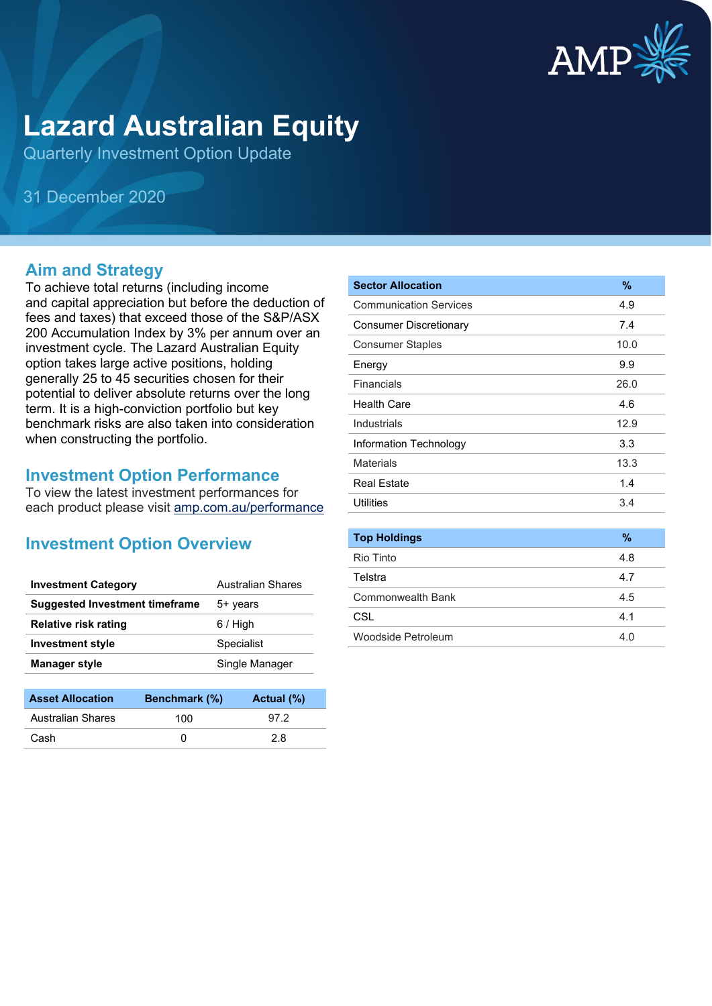

# **Lazard Australian Equity**

Quarterly Investment Option Update

31 December 2020

## **Aim and Strategy**

To achieve total returns (including income and capital appreciation but before the deduction of fees and taxes) that exceed those of the S&P/ASX 200 Accumulation Index by 3% per annum over an investment cycle. The Lazard Australian Equity option takes large active positions, holding generally 25 to 45 securities chosen for their potential to deliver absolute returns over the long term. It is a high-conviction portfolio but key benchmark risks are also taken into consideration when constructing the portfolio.

## **Investment Option Performance**

To view the latest investment performances for each product please visit [amp.com.au/performance](https://www.amp.com.au/performance)

## **Investment Option Overview**

| <b>Investment Category</b>     | <b>Australian Shares</b> |
|--------------------------------|--------------------------|
| Suggested Investment timeframe | 5+ years                 |
| <b>Relative risk rating</b>    | $6/$ High                |
| <b>Investment style</b>        | Specialist               |
| <b>Manager style</b>           | Single Manager           |

| <b>Asset Allocation</b> | <b>Benchmark</b> (%) | Actual (%) |
|-------------------------|----------------------|------------|
| Australian Shares       | 100                  | 972        |
| Cash                    |                      | 2 R        |

| <b>Sector Allocation</b>      | $\%$ |
|-------------------------------|------|
| <b>Communication Services</b> | 4.9  |
| <b>Consumer Discretionary</b> | 7.4  |
| <b>Consumer Staples</b>       | 10.0 |
| Energy                        | 9.9  |
| Financials                    | 26.0 |
| <b>Health Care</b>            | 4.6  |
| Industrials                   | 12.9 |
| Information Technology        | 3.3  |
| Materials                     | 13.3 |
| Real Estate                   | 1.4  |
| Utilities                     | 3.4  |
|                               |      |
| <b>Top Holdings</b>           | $\%$ |
| Rio Tinto                     | 4.8  |
| Telstra                       | 4.7  |
| <b>Commonwealth Bank</b>      | 4.5  |
| CSL                           | 4.1  |
| Woodside Petroleum            | 4.0  |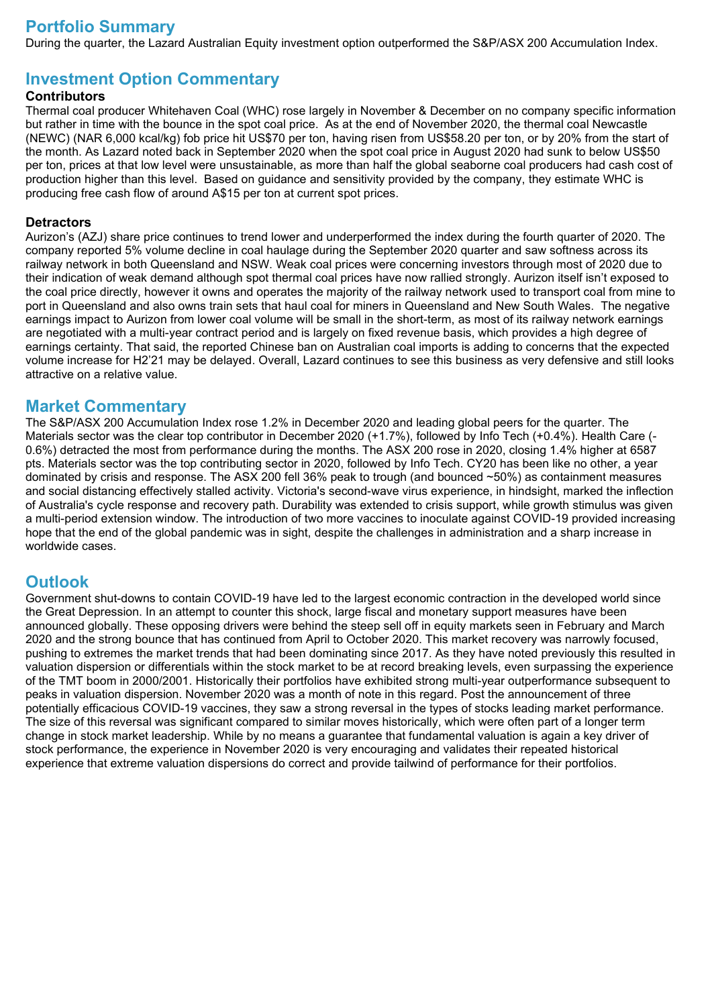## **Portfolio Summary**

During the quarter, the Lazard Australian Equity investment option outperformed the S&P/ASX 200 Accumulation Index.

## **Investment Option Commentary**

### **Contributors**

Thermal coal producer Whitehaven Coal (WHC) rose largely in November & December on no company specific information but rather in time with the bounce in the spot coal price. As at the end of November 2020, the thermal coal Newcastle (NEWC) (NAR 6,000 kcal/kg) fob price hit US\$70 per ton, having risen from US\$58.20 per ton, or by 20% from the start of the month. As Lazard noted back in September 2020 when the spot coal price in August 2020 had sunk to below US\$50 per ton, prices at that low level were unsustainable, as more than half the global seaborne coal producers had cash cost of production higher than this level. Based on guidance and sensitivity provided by the company, they estimate WHC is producing free cash flow of around A\$15 per ton at current spot prices.

### **Detractors**

Aurizon's (AZJ) share price continues to trend lower and underperformed the index during the fourth quarter of 2020. The company reported 5% volume decline in coal haulage during the September 2020 quarter and saw softness across its railway network in both Queensland and NSW. Weak coal prices were concerning investors through most of 2020 due to their indication of weak demand although spot thermal coal prices have now rallied strongly. Aurizon itself isn't exposed to the coal price directly, however it owns and operates the majority of the railway network used to transport coal from mine to port in Queensland and also owns train sets that haul coal for miners in Queensland and New South Wales. The negative earnings impact to Aurizon from lower coal volume will be small in the short-term, as most of its railway network earnings are negotiated with a multi-year contract period and is largely on fixed revenue basis, which provides a high degree of earnings certainty. That said, the reported Chinese ban on Australian coal imports is adding to concerns that the expected volume increase for H2'21 may be delayed. Overall, Lazard continues to see this business as very defensive and still looks attractive on a relative value.

## **Market Commentary**

The S&P/ASX 200 Accumulation Index rose 1.2% in December 2020 and leading global peers for the quarter. The Materials sector was the clear top contributor in December 2020 (+1.7%), followed by Info Tech (+0.4%). Health Care (-0.6%) detracted the most from performance during the months. The ASX 200 rose in 2020, closing 1.4% higher at 6587 pts. Materials sector was the top contributing sector in 2020, followed by Info Tech. CY20 has been like no other, a year dominated by crisis and response. The ASX 200 fell 36% peak to trough (and bounced ~50%) as containment measures and social distancing effectively stalled activity. Victoria's second-wave virus experience, in hindsight, marked the inflection of Australia's cycle response and recovery path. Durability was extended to crisis support, while growth stimulus was given a multi-period extension window. The introduction of two more vaccines to inoculate against COVID-19 provided increasing hope that the end of the global pandemic was in sight, despite the challenges in administration and a sharp increase in worldwide cases.

## **Outlook**

Government shut-downs to contain COVID-19 have led to the largest economic contraction in the developed world since the Great Depression. In an attempt to counter this shock, large fiscal and monetary support measures have been announced globally. These opposing drivers were behind the steep sell off in equity markets seen in February and March 2020 and the strong bounce that has continued from April to October 2020. This market recovery was narrowly focused, pushing to extremes the market trends that had been dominating since 2017. As they have noted previously this resulted in valuation dispersion or differentials within the stock market to be at record breaking levels, even surpassing the experience of the TMT boom in 2000/2001. Historically their portfolios have exhibited strong multi-year outperformance subsequent to peaks in valuation dispersion. November 2020 was a month of note in this regard. Post the announcement of three potentially efficacious COVID-19 vaccines, they saw a strong reversal in the types of stocks leading market performance. The size of this reversal was significant compared to similar moves historically, which were often part of a longer term change in stock market leadership. While by no means a guarantee that fundamental valuation is again a key driver of stock performance, the experience in November 2020 is very encouraging and validates their repeated historical experience that extreme valuation dispersions do correct and provide tailwind of performance for their portfolios.